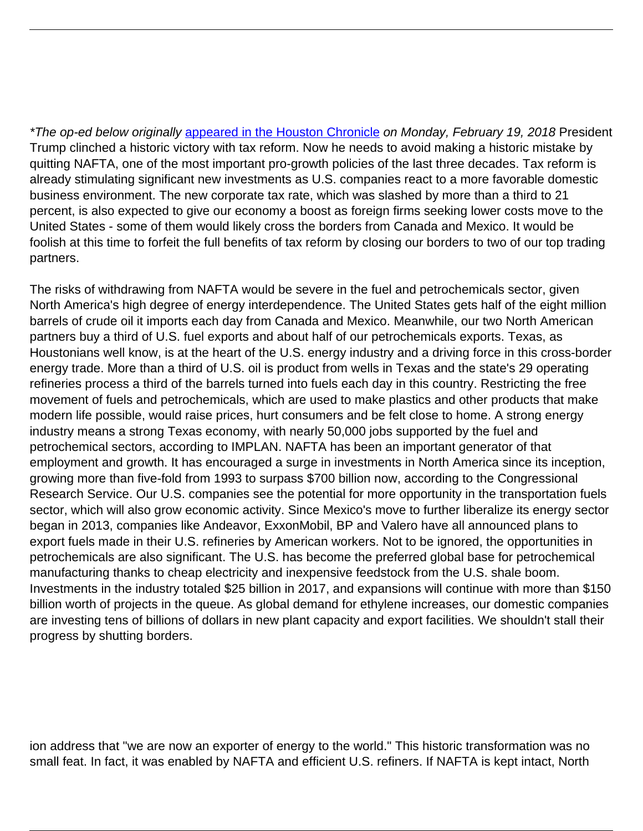\*The op-ed below originally [appeared in the Houston Chronicle](https://www.houstonchronicle.com/opinion/outlook/article/Thompson-Trump-can-reap-the-full-benefits-of-tax-12625644.php) on Monday, February 19, 2018 President Trump clinched a historic victory with tax reform. Now he needs to avoid making a historic mistake by quitting NAFTA, one of the most important pro-growth policies of the last three decades. Tax reform is already stimulating significant new investments as U.S. companies react to a more favorable domestic business environment. The new corporate tax rate, which was slashed by more than a third to 21 percent, is also expected to give our economy a boost as foreign firms seeking lower costs move to the United States - some of them would likely cross the borders from Canada and Mexico. It would be foolish at this time to forfeit the full benefits of tax reform by closing our borders to two of our top trading partners.

The risks of withdrawing from NAFTA would be severe in the fuel and petrochemicals sector, given North America's high degree of energy interdependence. The United States gets half of the eight million barrels of crude oil it imports each day from Canada and Mexico. Meanwhile, our two North American partners buy a third of U.S. fuel exports and about half of our petrochemicals exports. Texas, as Houstonians well know, is at the heart of the U.S. energy industry and a driving force in this cross-border energy trade. More than a third of U.S. oil is product from wells in Texas and the state's 29 operating refineries process a third of the barrels turned into fuels each day in this country. Restricting the free movement of fuels and petrochemicals, which are used to make plastics and other products that make modern life possible, would raise prices, hurt consumers and be felt close to home. A strong energy industry means a strong Texas economy, with nearly 50,000 jobs supported by the fuel and petrochemical sectors, according to IMPLAN. NAFTA has been an important generator of that employment and growth. It has encouraged a surge in investments in North America since its inception, growing more than five-fold from 1993 to surpass \$700 billion now, according to the Congressional Research Service. Our U.S. companies see the potential for more opportunity in the transportation fuels sector, which will also grow economic activity. Since Mexico's move to further liberalize its energy sector began in 2013, companies like Andeavor, ExxonMobil, BP and Valero have all announced plans to export fuels made in their U.S. refineries by American workers. Not to be ignored, the opportunities in petrochemicals are also significant. The U.S. has become the preferred global base for petrochemical manufacturing thanks to cheap electricity and inexpensive feedstock from the U.S. shale boom. Investments in the industry totaled \$25 billion in 2017, and expansions will continue with more than \$150 billion worth of projects in the queue. As global demand for ethylene increases, our domestic companies are investing tens of billions of dollars in new plant capacity and export facilities. We shouldn't stall their progress by shutting borders.

ion address that "we are now an exporter of energy to the world." This historic transformation was no small feat. In fact, it was enabled by NAFTA and efficient U.S. refiners. If NAFTA is kept intact, North